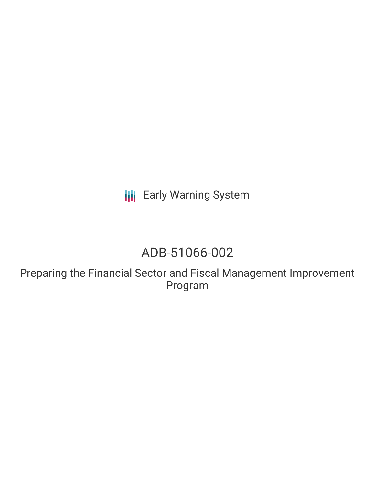**III** Early Warning System

# ADB-51066-002

Preparing the Financial Sector and Fiscal Management Improvement Program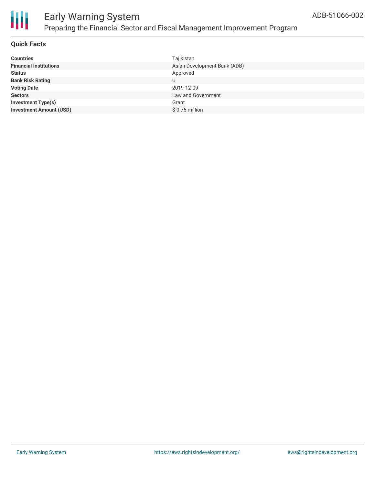

### Early Warning System Preparing the Financial Sector and Fiscal Management Improvement Program

#### **Quick Facts**

| <b>Countries</b>               | Tajikistan                   |
|--------------------------------|------------------------------|
| <b>Financial Institutions</b>  | Asian Development Bank (ADB) |
| <b>Status</b>                  | Approved                     |
| <b>Bank Risk Rating</b>        | U                            |
| <b>Voting Date</b>             | 2019-12-09                   |
| <b>Sectors</b>                 | Law and Government           |
| <b>Investment Type(s)</b>      | Grant                        |
| <b>Investment Amount (USD)</b> | $$0.75$ million              |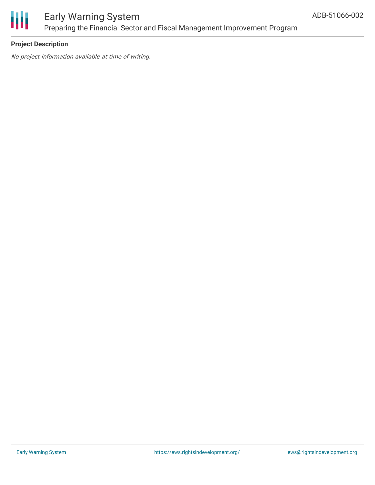

### Early Warning System Preparing the Financial Sector and Fiscal Management Improvement Program

#### **Project Description**

No project information available at time of writing.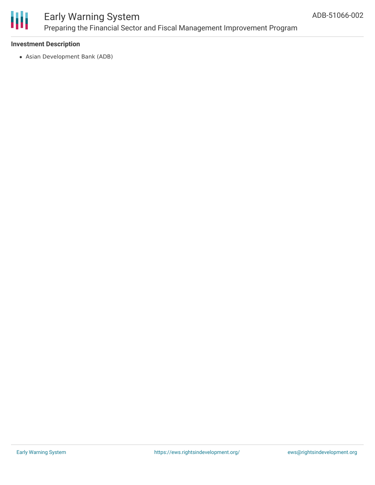

### Early Warning System Preparing the Financial Sector and Fiscal Management Improvement Program

#### **Investment Description**

Asian Development Bank (ADB)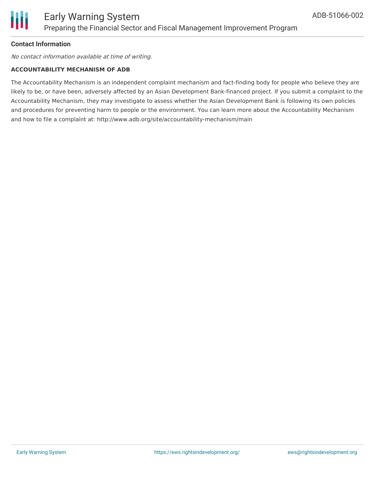

#### **Contact Information**

No contact information available at time of writing.

#### **ACCOUNTABILITY MECHANISM OF ADB**

The Accountability Mechanism is an independent complaint mechanism and fact-finding body for people who believe they are likely to be, or have been, adversely affected by an Asian Development Bank-financed project. If you submit a complaint to the Accountability Mechanism, they may investigate to assess whether the Asian Development Bank is following its own policies and procedures for preventing harm to people or the environment. You can learn more about the Accountability Mechanism and how to file a complaint at: http://www.adb.org/site/accountability-mechanism/main